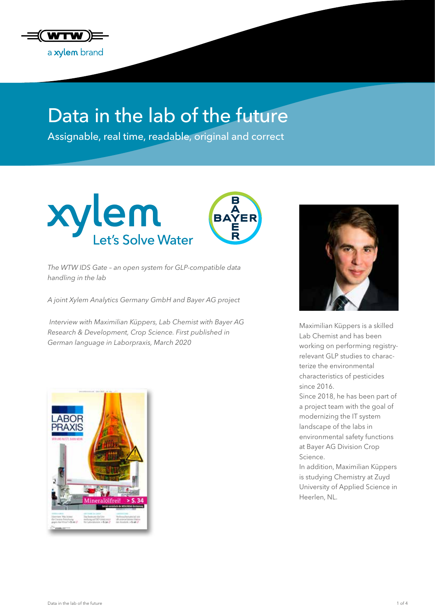

# Data in the lab of the future

Assignable, real time, readable, original and correct



*The WTW IDS Gate – an open system for GLP-compatible data handling in the lab*

*A joint Xylem Analytics Germany GmbH and Bayer AG project*

 *Interview with Maximilian Küppers, Lab Chemist with Bayer AG Research & Development, Crop Science. First published in German language in Laborpraxis, March 2020*





Maximilian Küppers is a skilled Lab Chemist and has been working on performing registryrelevant GLP studies to characterize the environmental characteristics of pesticides since 2016.

Since 2018, he has been part of a project team with the goal of modernizing the IT system landscape of the labs in environmental safety functions at Bayer AG Division Crop Science.

In addition, Maximilian Küppers is studying Chemistry at Zuyd University of Applied Science in Heerlen, NL.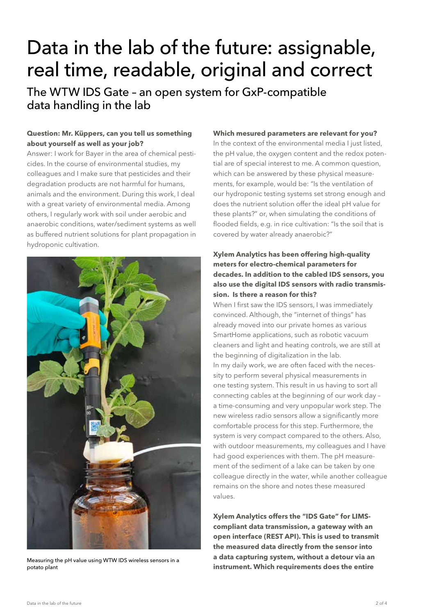# Data in the lab of the future: assignable, real time, readable, original and correct

The WTW IDS Gate – an open system for GxP-compatible data handling in the lab

## **Question: Mr. Küppers, can you tell us something about yourself as well as your job?**

Answer: I work for Bayer in the area of chemical pesticides. In the course of environmental studies, my colleagues and I make sure that pesticides and their degradation products are not harmful for humans, animals and the environment. During this work, I deal with a great variety of environmental media. Among others, I regularly work with soil under aerobic and anaerobic conditions, water/sediment systems as well as buffered nutrient solutions for plant propagation in hydroponic cultivation.



Measuring the pH value using WTW IDS wireless sensors in a potato plant

#### **Which mesured parameters are relevant for you?**

In the context of the environmental media I just listed, the pH value, the oxygen content and the redox potential are of special interest to me. A common question, which can be answered by these physical measurements, for example, would be: "Is the ventilation of our hydroponic testing systems set strong enough and does the nutrient solution offer the ideal pH value for these plants?" or, when simulating the conditions of flooded fields, e.g. in rice cultivation: "Is the soil that is covered by water already anaerobic?"

## **Xylem Analytics has been offering high-quality meters for electro-chemical parameters for decades. In addition to the cabled IDS sensors, you also use the digital IDS sensors with radio transmission. Is there a reason for this?**

When I first saw the IDS sensors, I was immediately convinced. Although, the "internet of things" has already moved into our private homes as various SmartHome applications, such as robotic vacuum cleaners and light and heating controls, we are still at the beginning of digitalization in the lab. In my daily work, we are often faced with the necessity to perform several physical measurements in one testing system. This result in us having to sort all connecting cables at the beginning of our work day – a time-consuming and very unpopular work step. The new wireless radio sensors allow a significantly more comfortable process for this step. Furthermore, the system is very compact compared to the others. Also, with outdoor measurements, my colleagues and I have had good experiences with them. The pH measurement of the sediment of a lake can be taken by one colleague directly in the water, while another colleague remains on the shore and notes these measured values.

**Xylem Analytics offers the "IDS Gate" for LIMScompliant data transmission, a gateway with an open interface (REST API). This is used to transmit the measured data directly from the sensor into a data capturing system, without a detour via an instrument. Which requirements does the entire**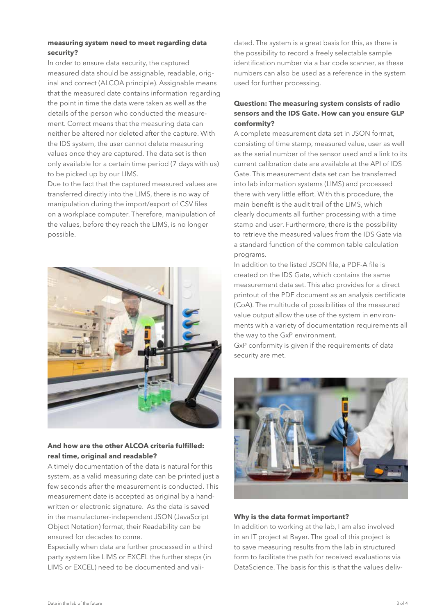### **measuring system need to meet regarding data security?**

In order to ensure data security, the captured measured data should be assignable, readable, original and correct (ALCOA principle). Assignable means that the measured date contains information regarding the point in time the data were taken as well as the details of the person who conducted the measurement. Correct means that the measuring data can neither be altered nor deleted after the capture. With the IDS system, the user cannot delete measuring values once they are captured. The data set is then only available for a certain time period (7 days with us) to be picked up by our LIMS.

Due to the fact that the captured measured values are transferred directly into the LIMS, there is no way of manipulation during the import/export of CSV files on a workplace computer. Therefore, manipulation of the values, before they reach the LIMS, is no longer possible.



#### **And how are the other ALCOA criteria fulfilled: real time, original and readable?**

A timely documentation of the data is natural for this system, as a valid measuring date can be printed just a few seconds after the measurement is conducted. This measurement date is accepted as original by a handwritten or electronic signature. As the data is saved in the manufacturer-independent JSON (JavaScript Object Notation) format, their Readability can be ensured for decades to come.

Especially when data are further processed in a third party system like LIMS or EXCEL the further steps (in LIMS or EXCEL) need to be documented and validated. The system is a great basis for this, as there is the possibility to record a freely selectable sample identification number via a bar code scanner, as these numbers can also be used as a reference in the system used for further processing.

## **Question: The measuring system consists of radio sensors and the IDS Gate. How can you ensure GLP conformity?**

A complete measurement data set in JSON format, consisting of time stamp, measured value, user as well as the serial number of the sensor used and a link to its current calibration date are available at the API of IDS Gate. This measurement data set can be transferred into lab information systems (LIMS) and processed there with very little effort. With this procedure, the main benefit is the audit trail of the LIMS, which clearly documents all further processing with a time stamp and user. Furthermore, there is the possibility to retrieve the measured values from the IDS Gate via a standard function of the common table calculation programs.

In addition to the listed JSON file, a PDF-A file is created on the IDS Gate, which contains the same measurement data set. This also provides for a direct printout of the PDF document as an analysis certificate (CoA). The multitude of possibilities of the measured value output allow the use of the system in environments with a variety of documentation requirements all the way to the GxP environment.

GxP conformity is given if the requirements of data security are met.



#### **Why is the data format important?**

In addition to working at the lab, I am also involved in an IT project at Bayer. The goal of this project is to save measuring results from the lab in structured form to facilitate the path for received evaluations via DataScience. The basis for this is that the values deliv-